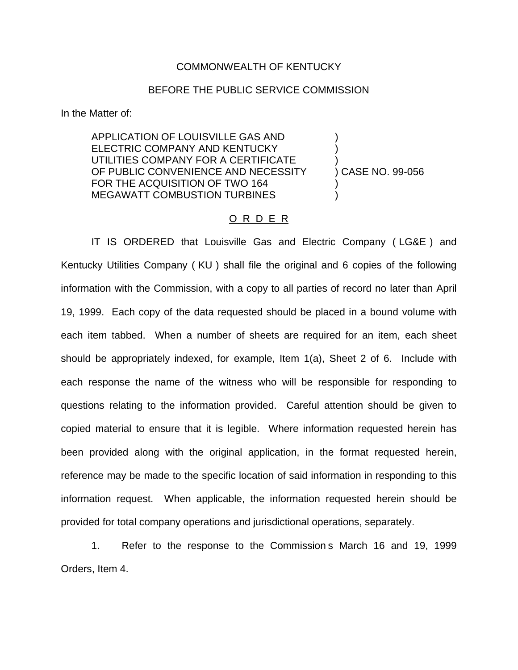## COMMONWEALTH OF KENTUCKY

## BEFORE THE PUBLIC SERVICE COMMISSION

In the Matter of:

APPLICATION OF LOUISVILLE GAS AND ) ELECTRIC COMPANY AND KENTUCKY UTILITIES COMPANY FOR A CERTIFICATE OF PUBLIC CONVENIENCE AND NECESSITY (CASE NO. 99-056) FOR THE ACQUISITION OF TWO 164 MEGAWATT COMBUSTION TURBINES

## O R D E R

IT IS ORDERED that Louisville Gas and Electric Company ( LG&E ) and Kentucky Utilities Company ( KU ) shall file the original and 6 copies of the following information with the Commission, with a copy to all parties of record no later than April 19, 1999. Each copy of the data requested should be placed in a bound volume with each item tabbed. When a number of sheets are required for an item, each sheet should be appropriately indexed, for example, Item 1(a), Sheet 2 of 6. Include with each response the name of the witness who will be responsible for responding to questions relating to the information provided. Careful attention should be given to copied material to ensure that it is legible. Where information requested herein has been provided along with the original application, in the format requested herein, reference may be made to the specific location of said information in responding to this information request. When applicable, the information requested herein should be provided for total company operations and jurisdictional operations, separately.

1. Refer to the response to the Commission s March 16 and 19, 1999 Orders, Item 4.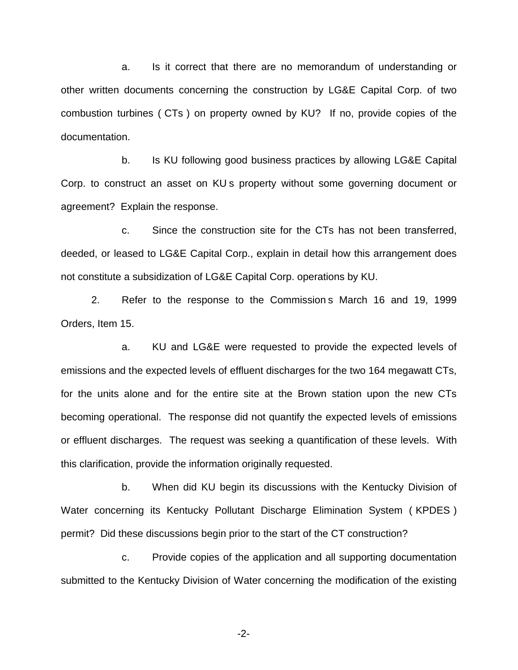a. Is it correct that there are no memorandum of understanding or other written documents concerning the construction by LG&E Capital Corp. of two combustion turbines ( CTs ) on property owned by KU? If no, provide copies of the documentation.

b. Is KU following good business practices by allowing LG&E Capital Corp. to construct an asset on KU s property without some governing document or agreement? Explain the response.

c. Since the construction site for the CTs has not been transferred, deeded, or leased to LG&E Capital Corp., explain in detail how this arrangement does not constitute a subsidization of LG&E Capital Corp. operations by KU.

2. Refer to the response to the Commission s March 16 and 19, 1999 Orders, Item 15.

a. KU and LG&E were requested to provide the expected levels of emissions and the expected levels of effluent discharges for the two 164 megawatt CTs, for the units alone and for the entire site at the Brown station upon the new CTs becoming operational. The response did not quantify the expected levels of emissions or effluent discharges. The request was seeking a quantification of these levels. With this clarification, provide the information originally requested.

b. When did KU begin its discussions with the Kentucky Division of Water concerning its Kentucky Pollutant Discharge Elimination System ( KPDES ) permit? Did these discussions begin prior to the start of the CT construction?

c. Provide copies of the application and all supporting documentation submitted to the Kentucky Division of Water concerning the modification of the existing

-2-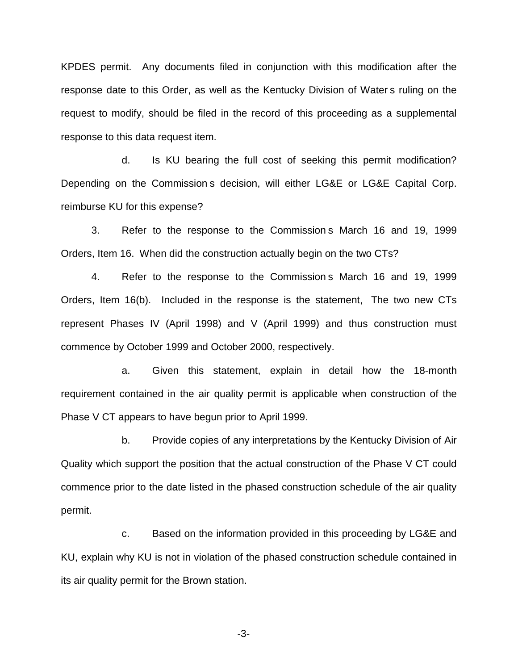KPDES permit. Any documents filed in conjunction with this modification after the response date to this Order, as well as the Kentucky Division of Water s ruling on the request to modify, should be filed in the record of this proceeding as a supplemental response to this data request item.

d. Is KU bearing the full cost of seeking this permit modification? Depending on the Commission s decision, will either LG&E or LG&E Capital Corp. reimburse KU for this expense?

3. Refer to the response to the Commission s March 16 and 19, 1999 Orders, Item 16. When did the construction actually begin on the two CTs?

4. Refer to the response to the Commission s March 16 and 19, 1999 Orders, Item 16(b). Included in the response is the statement, The two new CTs represent Phases IV (April 1998) and V (April 1999) and thus construction must commence by October 1999 and October 2000, respectively.

a. Given this statement, explain in detail how the 18-month requirement contained in the air quality permit is applicable when construction of the Phase V CT appears to have begun prior to April 1999.

b. Provide copies of any interpretations by the Kentucky Division of Air Quality which support the position that the actual construction of the Phase V CT could commence prior to the date listed in the phased construction schedule of the air quality permit.

c. Based on the information provided in this proceeding by LG&E and KU, explain why KU is not in violation of the phased construction schedule contained in its air quality permit for the Brown station.

-3-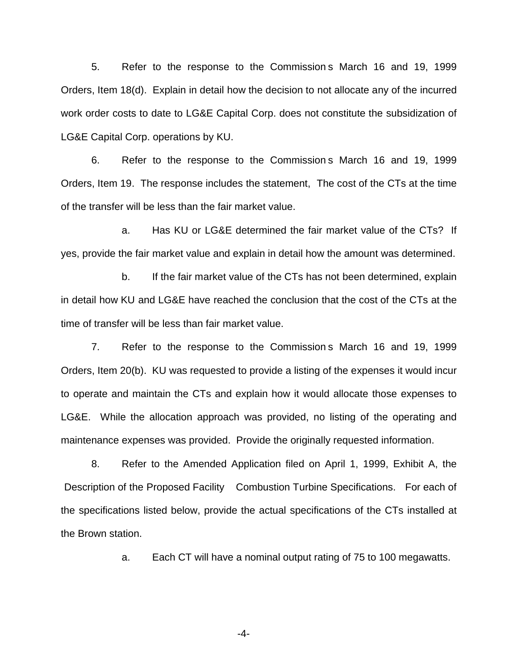5. Refer to the response to the Commission s March 16 and 19, 1999 Orders, Item 18(d). Explain in detail how the decision to not allocate any of the incurred work order costs to date to LG&E Capital Corp. does not constitute the subsidization of LG&E Capital Corp. operations by KU.

6. Refer to the response to the Commission s March 16 and 19, 1999 Orders, Item 19. The response includes the statement, The cost of the CTs at the time of the transfer will be less than the fair market value.

a. Has KU or LG&E determined the fair market value of the CTs? If yes, provide the fair market value and explain in detail how the amount was determined.

b. If the fair market value of the CTs has not been determined, explain in detail how KU and LG&E have reached the conclusion that the cost of the CTs at the time of transfer will be less than fair market value.

7. Refer to the response to the Commission s March 16 and 19, 1999 Orders, Item 20(b). KU was requested to provide a listing of the expenses it would incur to operate and maintain the CTs and explain how it would allocate those expenses to LG&E. While the allocation approach was provided, no listing of the operating and maintenance expenses was provided. Provide the originally requested information.

8. Refer to the Amended Application filed on April 1, 1999, Exhibit A, the Description of the Proposed Facility Combustion Turbine Specifications. For each of the specifications listed below, provide the actual specifications of the CTs installed at the Brown station.

a. Each CT will have a nominal output rating of 75 to 100 megawatts.

-4-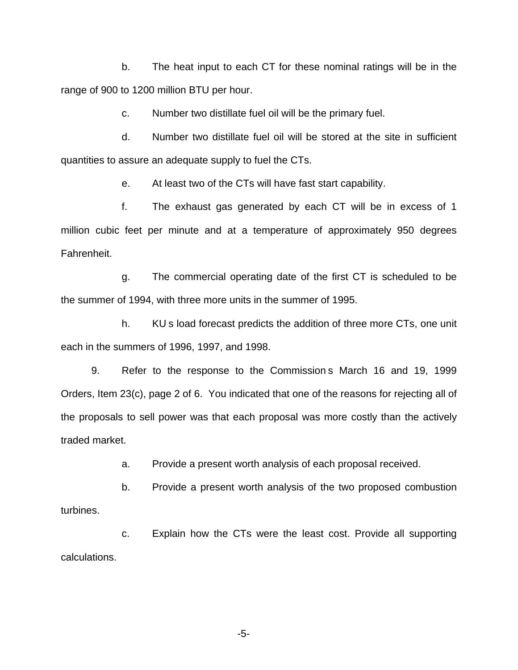b. The heat input to each CT for these nominal ratings will be in the range of 900 to 1200 million BTU per hour.

c. Number two distillate fuel oil will be the primary fuel.

d. Number two distillate fuel oil will be stored at the site in sufficient quantities to assure an adequate supply to fuel the CTs.

e. At least two of the CTs will have fast start capability.

f. The exhaust gas generated by each CT will be in excess of 1 million cubic feet per minute and at a temperature of approximately 950 degrees Fahrenheit.

g. The commercial operating date of the first CT is scheduled to be the summer of 1994, with three more units in the summer of 1995.

h. KU s load forecast predicts the addition of three more CTs, one unit each in the summers of 1996, 1997, and 1998.

9. Refer to the response to the Commission s March 16 and 19, 1999 Orders, Item 23(c), page 2 of 6. You indicated that one of the reasons for rejecting all of the proposals to sell power was that each proposal was more costly than the actively traded market.

a. Provide a present worth analysis of each proposal received.

b. Provide a present worth analysis of the two proposed combustion turbines.

c. Explain how the CTs were the least cost. Provide all supporting calculations.

-5-